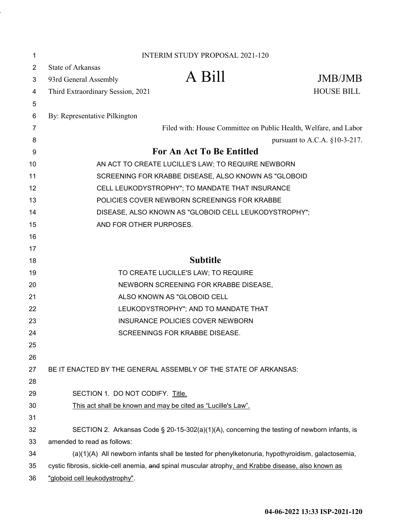| 1  |                                                                                                     | <b>INTERIM STUDY PROPOSAL 2021-120</b>                                                       |                                  |  |
|----|-----------------------------------------------------------------------------------------------------|----------------------------------------------------------------------------------------------|----------------------------------|--|
| 2  | <b>State of Arkansas</b>                                                                            |                                                                                              |                                  |  |
| 3  | 93rd General Assembly                                                                               | A Bill                                                                                       | JMB/JMB                          |  |
| 4  | Third Extraordinary Session, 2021                                                                   |                                                                                              | <b>HOUSE BILL</b>                |  |
| 5  |                                                                                                     |                                                                                              |                                  |  |
| 6  | By: Representative Pilkington                                                                       |                                                                                              |                                  |  |
| 7  |                                                                                                     | Filed with: House Committee on Public Health, Welfare, and Labor                             |                                  |  |
| 8  |                                                                                                     |                                                                                              | pursuant to A.C.A. $§10-3-217$ . |  |
| 9  | <b>For An Act To Be Entitled</b>                                                                    |                                                                                              |                                  |  |
| 10 | AN ACT TO CREATE LUCILLE'S LAW; TO REQUIRE NEWBORN                                                  |                                                                                              |                                  |  |
| 11 | SCREENING FOR KRABBE DISEASE, ALSO KNOWN AS "GLOBOID                                                |                                                                                              |                                  |  |
| 12 | CELL LEUKODYSTROPHY"; TO MANDATE THAT INSURANCE                                                     |                                                                                              |                                  |  |
| 13 | POLICIES COVER NEWBORN SCREENINGS FOR KRABBE                                                        |                                                                                              |                                  |  |
| 14 | DISEASE, ALSO KNOWN AS "GLOBOID CELL LEUKODYSTROPHY";                                               |                                                                                              |                                  |  |
| 15 | AND FOR OTHER PURPOSES.                                                                             |                                                                                              |                                  |  |
| 16 |                                                                                                     |                                                                                              |                                  |  |
| 17 |                                                                                                     |                                                                                              |                                  |  |
| 18 |                                                                                                     | <b>Subtitle</b>                                                                              |                                  |  |
| 19 |                                                                                                     | TO CREATE LUCILLE'S LAW; TO REQUIRE                                                          |                                  |  |
| 20 | NEWBORN SCREENING FOR KRABBE DISEASE,                                                               |                                                                                              |                                  |  |
| 21 |                                                                                                     | ALSO KNOWN AS "GLOBOID CELL                                                                  |                                  |  |
| 22 | LEUKODYSTROPHY"; AND TO MANDATE THAT                                                                |                                                                                              |                                  |  |
| 23 | INSURANCE POLICIES COVER NEWBORN                                                                    |                                                                                              |                                  |  |
| 24 |                                                                                                     | <b>SCREENINGS FOR KRABBE DISEASE.</b>                                                        |                                  |  |
| 25 |                                                                                                     |                                                                                              |                                  |  |
| 26 |                                                                                                     |                                                                                              |                                  |  |
| 27 |                                                                                                     | BE IT ENACTED BY THE GENERAL ASSEMBLY OF THE STATE OF ARKANSAS:                              |                                  |  |
| 28 |                                                                                                     |                                                                                              |                                  |  |
| 29 | SECTION 1. DO NOT CODIFY. Title.                                                                    |                                                                                              |                                  |  |
| 30 |                                                                                                     | This act shall be known and may be cited as "Lucille's Law".                                 |                                  |  |
| 31 |                                                                                                     |                                                                                              |                                  |  |
| 32 |                                                                                                     | SECTION 2. Arkansas Code § 20-15-302(a)(1)(A), concerning the testing of newborn infants, is |                                  |  |
| 33 | amended to read as follows:                                                                         |                                                                                              |                                  |  |
| 34 | (a)(1)(A) All newborn infants shall be tested for phenylketonuria, hypothyroidism, galactosemia,    |                                                                                              |                                  |  |
| 35 | cystic fibrosis, sickle-cell anemia, and spinal muscular atrophy, and Krabbe disease, also known as |                                                                                              |                                  |  |
| 36 | "globoid cell leukodystrophy".                                                                      |                                                                                              |                                  |  |

 $\ddot{\phantom{0}}$